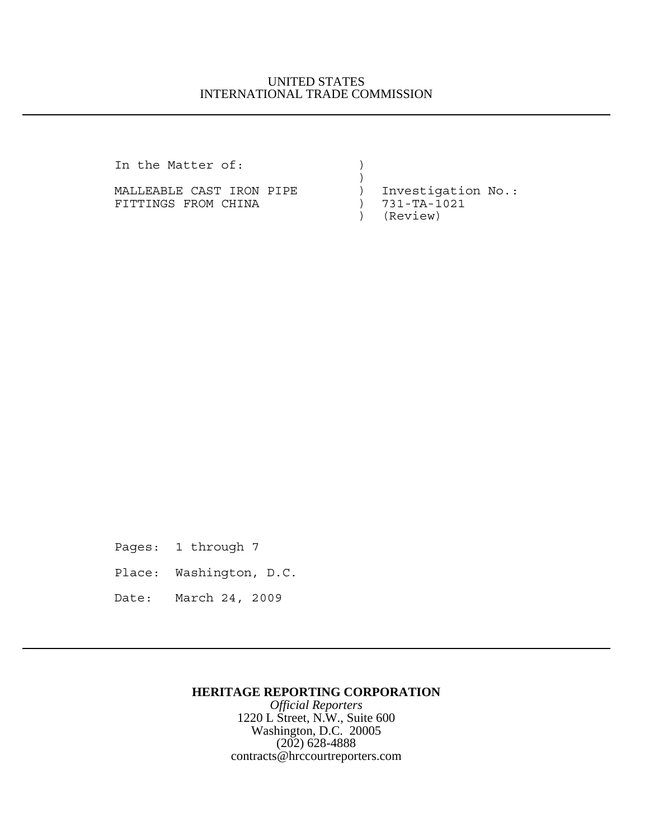## UNITED STATES INTERNATIONAL TRADE COMMISSION

In the Matter of:

MALLEABLE CAST IRON PIPE ) Investigation No.:<br>FITTINGS FROM CHINA (2008) 731-TA-1021 FITTINGS FROM CHINA  $(3)$ 

 $)$ 

) (Review)

Pages: 1 through 7

Place: Washington, D.C.

Date: March 24, 2009

## **HERITAGE REPORTING CORPORATION**

*Official Reporters* 1220 L Street, N.W., Suite 600 Washington, D.C. 20005 (202) 628-4888 contracts@hrccourtreporters.com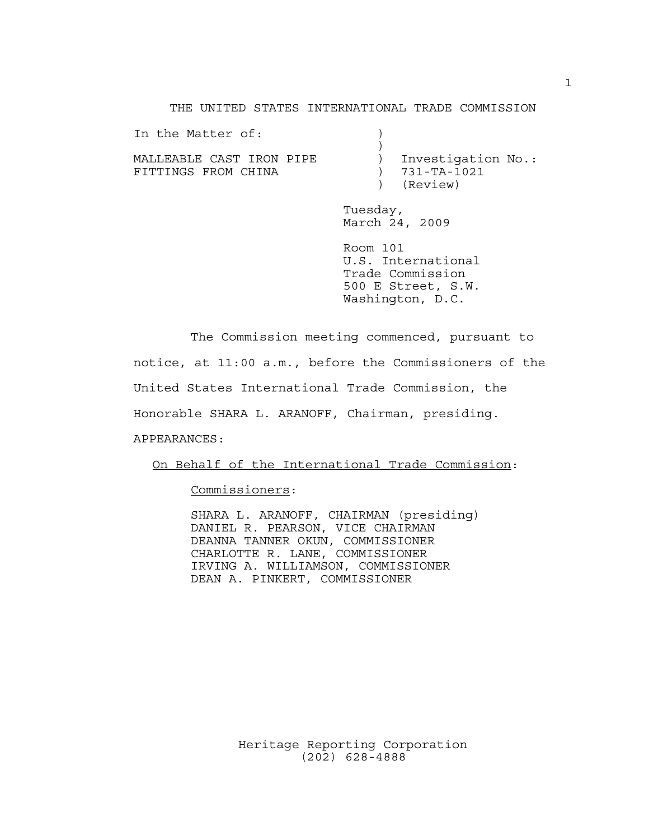THE UNITED STATES INTERNATIONAL TRADE COMMISSION

In the Matter of:  $)$ MALLEABLE CAST IRON PIPE ) Investigation No.: FITTINGS FROM CHINA (2008) 731-TA-1021

) (Review)

Tuesday, March 24, 2009

Room 101 U.S. International Trade Commission 500 E Street, S.W. Washington, D.C.

The Commission meeting commenced, pursuant to notice, at 11:00 a.m., before the Commissioners of the United States International Trade Commission, the Honorable SHARA L. ARANOFF, Chairman, presiding. APPEARANCES:

On Behalf of the International Trade Commission:

Commissioners:

SHARA L. ARANOFF, CHAIRMAN (presiding) DANIEL R. PEARSON, VICE CHAIRMAN DEANNA TANNER OKUN, COMMISSIONER CHARLOTTE R. LANE, COMMISSIONER IRVING A. WILLIAMSON, COMMISSIONER DEAN A. PINKERT, COMMISSIONER

> Heritage Reporting Corporation (202) 628-4888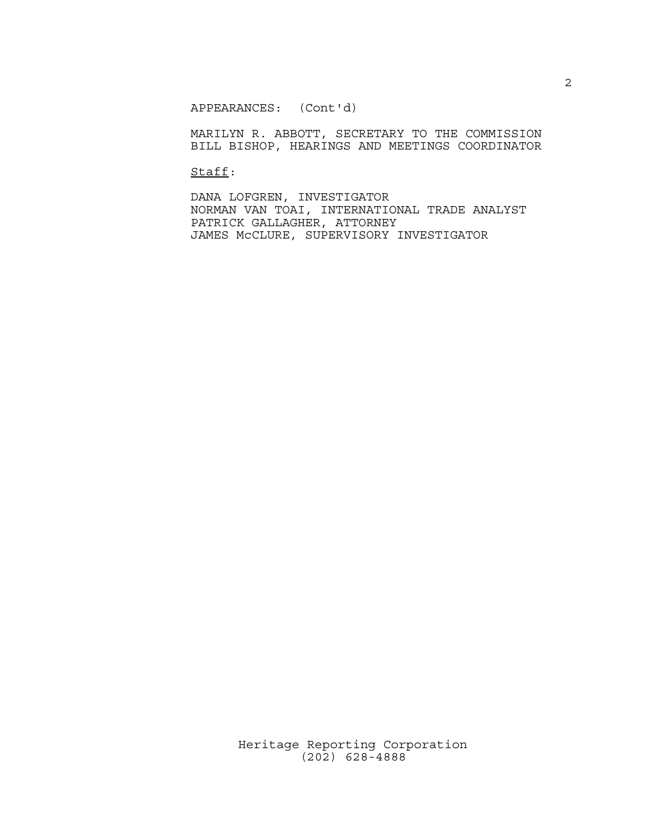APPEARANCES: (Cont'd)

MARILYN R. ABBOTT, SECRETARY TO THE COMMISSION BILL BISHOP, HEARINGS AND MEETINGS COORDINATOR

Staff:

DANA LOFGREN, INVESTIGATOR NORMAN VAN TOAI, INTERNATIONAL TRADE ANALYST PATRICK GALLAGHER, ATTORNEY JAMES McCLURE, SUPERVISORY INVESTIGATOR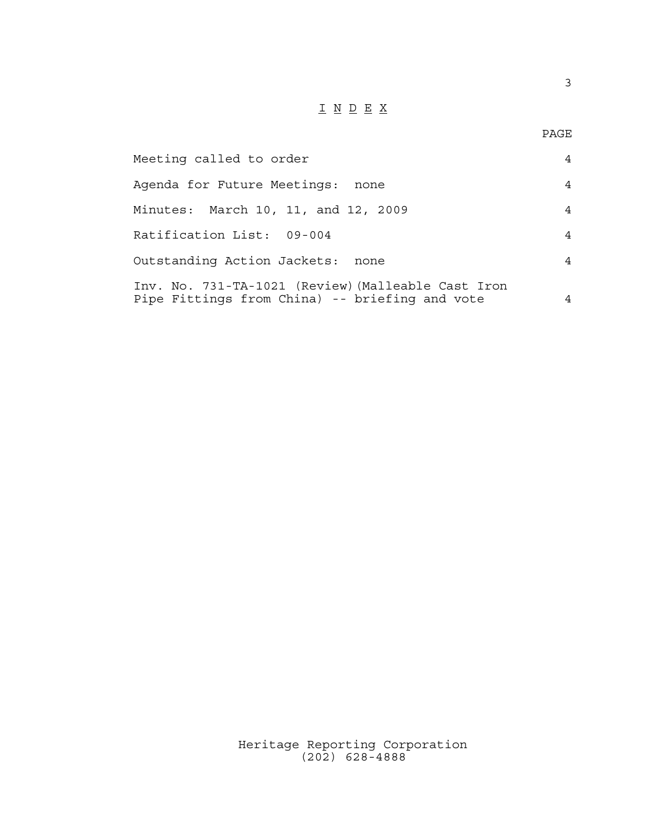## $\underline{\texttt{I}} \ \underline{\texttt{N}} \ \underline{\texttt{D}} \ \underline{\texttt{E}} \ \underline{\texttt{X}}$

3

| Meeting called to order                                                                              | 4 |
|------------------------------------------------------------------------------------------------------|---|
| Agenda for Future Meetings:<br>none                                                                  | 4 |
| Minutes: March 10, 11, and 12, 2009                                                                  | 4 |
| Ratification List: 09-004                                                                            | 4 |
| Outstanding Action Jackets:<br>none                                                                  | 4 |
| Inv. No. 731-TA-1021 (Review) (Malleable Cast Iron<br>Pipe Fittings from China) -- briefing and vote | 4 |

Heritage Reporting Corporation (202) 628-4888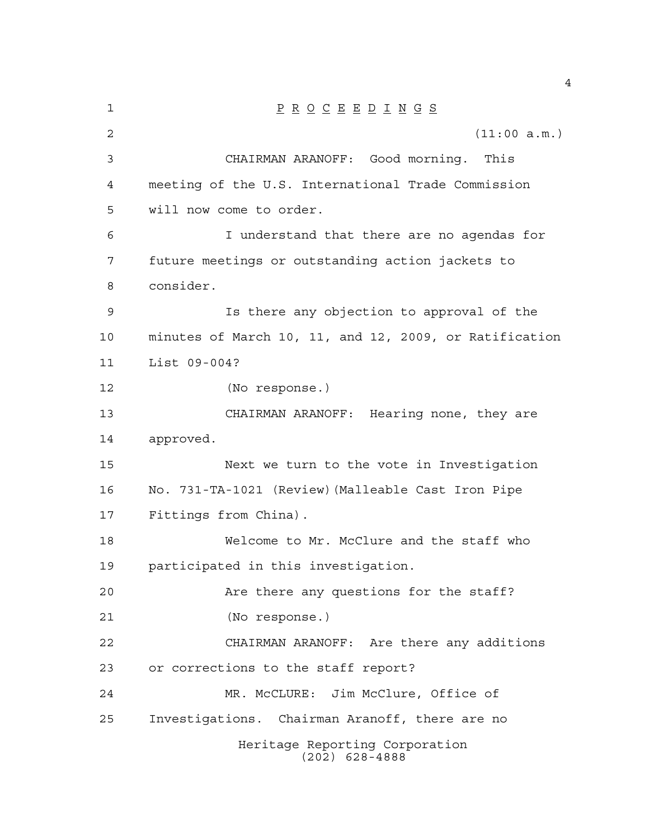| 1  | $\underline{P} \underline{R} \underline{O} \underline{C} \underline{E} \underline{E} \underline{D} \underline{I} \underline{N} \underline{G} \underline{S}$ |
|----|-------------------------------------------------------------------------------------------------------------------------------------------------------------|
| 2  | (11:00 a.m.)                                                                                                                                                |
| 3  | CHAIRMAN ARANOFF: Good morning. This                                                                                                                        |
| 4  | meeting of the U.S. International Trade Commission                                                                                                          |
| 5  | will now come to order.                                                                                                                                     |
| 6  | I understand that there are no agendas for                                                                                                                  |
| 7  | future meetings or outstanding action jackets to                                                                                                            |
| 8  | consider.                                                                                                                                                   |
| 9  | Is there any objection to approval of the                                                                                                                   |
| 10 | minutes of March 10, 11, and 12, 2009, or Ratification                                                                                                      |
| 11 | List 09-004?                                                                                                                                                |
| 12 | (No response.)                                                                                                                                              |
| 13 | CHAIRMAN ARANOFF: Hearing none, they are                                                                                                                    |
| 14 | approved.                                                                                                                                                   |
| 15 | Next we turn to the vote in Investigation                                                                                                                   |
| 16 | No. 731-TA-1021 (Review) (Malleable Cast Iron Pipe                                                                                                          |
| 17 | Fittings from China).                                                                                                                                       |
| 18 | Welcome to Mr. McClure and the staff who                                                                                                                    |
| 19 | participated in this investigation.                                                                                                                         |
| 20 | Are there any questions for the staff?                                                                                                                      |
| 21 | (No response.)                                                                                                                                              |
| 22 | CHAIRMAN ARANOFF: Are there any additions                                                                                                                   |
| 23 | or corrections to the staff report?                                                                                                                         |
| 24 | MR. McCLURE: Jim McClure, Office of                                                                                                                         |
| 25 | Investigations. Chairman Aranoff, there are no                                                                                                              |
|    | Heritage Reporting Corporation<br>$(202)$ 628-4888                                                                                                          |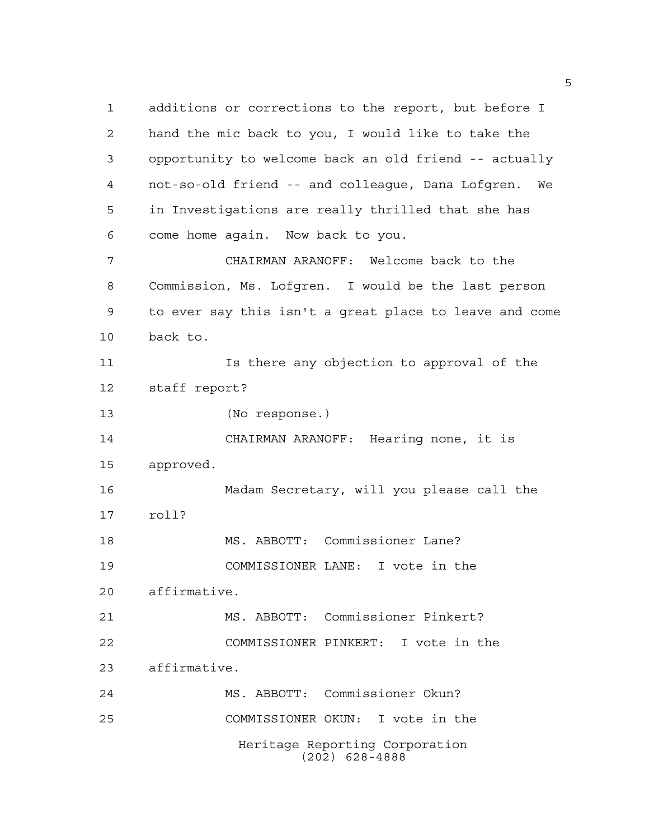Heritage Reporting Corporation (202) 628-4888 additions or corrections to the report, but before I hand the mic back to you, I would like to take the opportunity to welcome back an old friend -- actually not-so-old friend -- and colleague, Dana Lofgren. We in Investigations are really thrilled that she has come home again. Now back to you. CHAIRMAN ARANOFF: Welcome back to the Commission, Ms. Lofgren. I would be the last person to ever say this isn't a great place to leave and come back to. Is there any objection to approval of the staff report? (No response.) CHAIRMAN ARANOFF: Hearing none, it is approved. Madam Secretary, will you please call the roll? MS. ABBOTT: Commissioner Lane? COMMISSIONER LANE: I vote in the affirmative. MS. ABBOTT: Commissioner Pinkert? COMMISSIONER PINKERT: I vote in the affirmative. MS. ABBOTT: Commissioner Okun? COMMISSIONER OKUN: I vote in the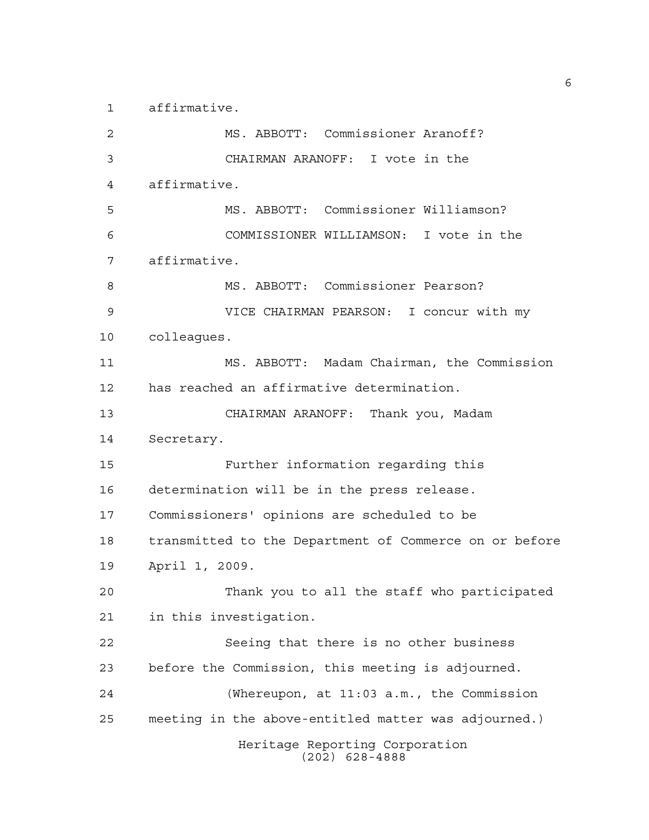affirmative.

Heritage Reporting Corporation (202) 628-4888 MS. ABBOTT: Commissioner Aranoff? CHAIRMAN ARANOFF: I vote in the affirmative. MS. ABBOTT: Commissioner Williamson? COMMISSIONER WILLIAMSON: I vote in the affirmative. MS. ABBOTT: Commissioner Pearson? VICE CHAIRMAN PEARSON: I concur with my colleagues. MS. ABBOTT: Madam Chairman, the Commission has reached an affirmative determination. CHAIRMAN ARANOFF: Thank you, Madam Secretary. Further information regarding this determination will be in the press release. Commissioners' opinions are scheduled to be transmitted to the Department of Commerce on or before April 1, 2009. Thank you to all the staff who participated in this investigation. Seeing that there is no other business before the Commission, this meeting is adjourned. (Whereupon, at 11:03 a.m., the Commission meeting in the above-entitled matter was adjourned.)